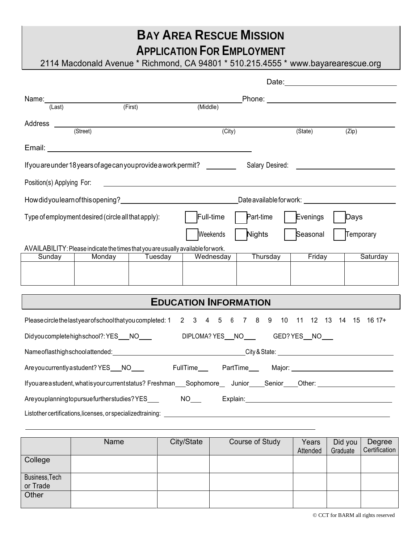# **BAY AREA RESCUE MISSION APPLICATION FOR EMPLOYMENT**

2114 Macdonald Avenue \* Richmond, CA 94801 \* 510.215.4555 \* [www.bayarearescue.org](http://www.bayarearescue.org/)

|                                                                                                   |                                                                                  |                |                                                                 |                                                                                             | _Phone: _________________________________                                                                                                                                                                                      |           |  |  |
|---------------------------------------------------------------------------------------------------|----------------------------------------------------------------------------------|----------------|-----------------------------------------------------------------|---------------------------------------------------------------------------------------------|--------------------------------------------------------------------------------------------------------------------------------------------------------------------------------------------------------------------------------|-----------|--|--|
|                                                                                                   | Name: $\frac{1}{4 \cdot 1}$ (First)                                              |                | (Middle)                                                        |                                                                                             |                                                                                                                                                                                                                                |           |  |  |
| Address _____________                                                                             |                                                                                  |                |                                                                 |                                                                                             |                                                                                                                                                                                                                                |           |  |  |
|                                                                                                   | (Street)                                                                         |                | $\overline{(City)}$                                             |                                                                                             | (State)                                                                                                                                                                                                                        | (Zip)     |  |  |
|                                                                                                   |                                                                                  |                |                                                                 |                                                                                             |                                                                                                                                                                                                                                |           |  |  |
|                                                                                                   |                                                                                  |                | If you are under 18 years of age can you provide a work permit? |                                                                                             | Salary Desired: The Contract of the Contract of the Contract of the Contract of the Contract of the Contract of the Contract of the Contract of the Contract of the Contract of the Contract of the Contract of the Contract o |           |  |  |
| Position(s) Applying For:                                                                         |                                                                                  |                |                                                                 |                                                                                             |                                                                                                                                                                                                                                |           |  |  |
|                                                                                                   |                                                                                  |                |                                                                 | _Date available for work: _________________________________                                 |                                                                                                                                                                                                                                |           |  |  |
| Part-time<br>Evenings<br>Full-time<br>Type of employment desired (circle all that apply):<br>Days |                                                                                  |                |                                                                 |                                                                                             |                                                                                                                                                                                                                                |           |  |  |
|                                                                                                   |                                                                                  |                | Weekends                                                        | <b>Nights</b>                                                                               | Seasonal                                                                                                                                                                                                                       | Temporary |  |  |
|                                                                                                   | AVAILABILITY: Please indicate the times that you are usually available for work. |                |                                                                 |                                                                                             |                                                                                                                                                                                                                                |           |  |  |
| Sunday                                                                                            | <b>Contract</b>                                                                  | Monday Tuesday | Wednesday                                                       | Thursday                                                                                    | Friday                                                                                                                                                                                                                         | Saturday  |  |  |
|                                                                                                   |                                                                                  |                |                                                                 |                                                                                             |                                                                                                                                                                                                                                |           |  |  |
|                                                                                                   |                                                                                  |                |                                                                 |                                                                                             |                                                                                                                                                                                                                                |           |  |  |
| <b>EDUCATION INFORMATION</b>                                                                      |                                                                                  |                |                                                                 |                                                                                             |                                                                                                                                                                                                                                |           |  |  |
|                                                                                                   |                                                                                  |                |                                                                 | Pleasecirclethelastyearofschoolthatyoucompleted: 1 2 3 4 5 6 7 8 9 10 11 12 13 14 15 16 17+ |                                                                                                                                                                                                                                |           |  |  |
| DIPLOMA? YES NO GED? YES NO<br>Didyoucompletehighschool?: YES NO                                  |                                                                                  |                |                                                                 |                                                                                             |                                                                                                                                                                                                                                |           |  |  |
| Name of last highschool attended: <u>Calcular Communications Communications City &amp; State:</u> |                                                                                  |                |                                                                 |                                                                                             |                                                                                                                                                                                                                                |           |  |  |
|                                                                                                   | Are you currently a student? YES___NO____                                        |                |                                                                 |                                                                                             |                                                                                                                                                                                                                                |           |  |  |

If you are a student, what is your current status? Freshman Sophomore Junior Senior Other:

Are you planning to pursue further studies? YES NO Explain: Listother certifications, licenses, or specializedtraining: \_\_

|                            | Name | City/State | Course of Study | Years<br>Attended | Did you<br>Graduate | Degree<br>Certification |
|----------------------------|------|------------|-----------------|-------------------|---------------------|-------------------------|
| College                    |      |            |                 |                   |                     |                         |
| Business, Tech<br>or Trade |      |            |                 |                   |                     |                         |
| Other                      |      |            |                 |                   |                     |                         |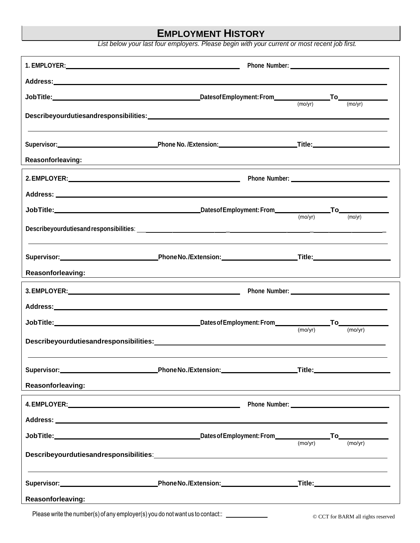## **EMPLOYMENT HISTORY**

*List below your last four employers. Please begin with your current or most recent job first.*

|                                                                                                                                                                                                                               | Describeyourdutiesandresponsibilities:<br>The contract of the contract of the contract of the contract of the contract of the contract of the contract o |         |         |
|-------------------------------------------------------------------------------------------------------------------------------------------------------------------------------------------------------------------------------|----------------------------------------------------------------------------------------------------------------------------------------------------------|---------|---------|
|                                                                                                                                                                                                                               |                                                                                                                                                          |         |         |
|                                                                                                                                                                                                                               |                                                                                                                                                          |         |         |
| Reasonforleaving:                                                                                                                                                                                                             |                                                                                                                                                          |         |         |
|                                                                                                                                                                                                                               |                                                                                                                                                          |         |         |
|                                                                                                                                                                                                                               |                                                                                                                                                          |         |         |
|                                                                                                                                                                                                                               |                                                                                                                                                          | (mo/yr) | (mo/yr) |
|                                                                                                                                                                                                                               |                                                                                                                                                          |         |         |
|                                                                                                                                                                                                                               |                                                                                                                                                          |         |         |
|                                                                                                                                                                                                                               | Supervisor: Network and American Control Phone No./Extension: Network and Title: Network and Title:                                                      |         |         |
| <b>Reasonforleaving:</b>                                                                                                                                                                                                      | <u> 1989 - Johann Stoff, amerikansk politiker (* 1908)</u>                                                                                               |         |         |
|                                                                                                                                                                                                                               |                                                                                                                                                          |         |         |
|                                                                                                                                                                                                                               |                                                                                                                                                          |         |         |
|                                                                                                                                                                                                                               |                                                                                                                                                          |         |         |
|                                                                                                                                                                                                                               |                                                                                                                                                          |         |         |
|                                                                                                                                                                                                                               |                                                                                                                                                          |         |         |
|                                                                                                                                                                                                                               |                                                                                                                                                          |         |         |
| Reasonforleaving:                                                                                                                                                                                                             | ,我们也不会有什么。""我们的人,我们也不会有什么?""我们的人,我们也不会有什么?""我们的人,我们也不会有什么?""我们的人,我们也不会有什么?""我们的人                                                                         |         |         |
| 4. EMPLOYER: And the contract of the contract of the contract of the contract of the contract of the contract of the contract of the contract of the contract of the contract of the contract of the contract of the contract |                                                                                                                                                          |         |         |
|                                                                                                                                                                                                                               |                                                                                                                                                          |         |         |
|                                                                                                                                                                                                                               |                                                                                                                                                          |         |         |
|                                                                                                                                                                                                                               |                                                                                                                                                          |         |         |
|                                                                                                                                                                                                                               |                                                                                                                                                          |         |         |
|                                                                                                                                                                                                                               |                                                                                                                                                          |         |         |
| Reasonforleaving:                                                                                                                                                                                                             | <u> 1989 - Johann Stein, marwolaethau a bhann an chomhair an t-an chomhair an chomhair an chomhair an chomhair a</u>                                     |         |         |

Please write the number(s) of any employer(s) you do not want us to contact:: <u>examelence and</u> CCT for BARM all rights reserved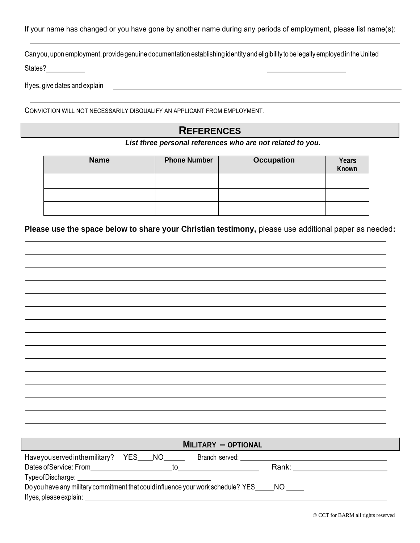If your name has changed or you have gone by another name during any periods of employment, please list name(s):

Can you, upon employment, provide genuine documentation establishing identity and eligibility tobe legally employed in the United

States?

If yes, give dates and explain

CONVICTION WILL NOT NECESSARILY DISQUALIFY AN APPLICANT FROM EMPLOYMENT.

### **REFERENCES**

#### *List three personal references who are not related to you.*

| <b>Name</b> | <b>Phone Number</b> | <b>Occupation</b> | Years<br>Known |
|-------------|---------------------|-------------------|----------------|
|             |                     |                   |                |
|             |                     |                   |                |
|             |                     |                   |                |

**Please use the space below to share your Christian testimony,** please use additional paper as needed**:**

|                                                                                                                      |  | <b>MILITARY - OPTIONAL</b> |                                                                                                                                                                                                                                |  |
|----------------------------------------------------------------------------------------------------------------------|--|----------------------------|--------------------------------------------------------------------------------------------------------------------------------------------------------------------------------------------------------------------------------|--|
|                                                                                                                      |  |                            |                                                                                                                                                                                                                                |  |
|                                                                                                                      |  |                            | Rank: National Property of the Contract of the Contract of the Contract of the Contract of the Contract of the Contract of the Contract of the Contract of the Contract of the Contract of the Contract of the Contract of the |  |
| TypeofDischarge: National Accounts and Accounts and Accounts and Accounts and Accounts and Accounts and Accounts and |  |                            |                                                                                                                                                                                                                                |  |
| Do you have any military commitment that could influence your work schedule? YES_____NO                              |  |                            |                                                                                                                                                                                                                                |  |
| Ifyes, please explain:                                                                                               |  |                            |                                                                                                                                                                                                                                |  |